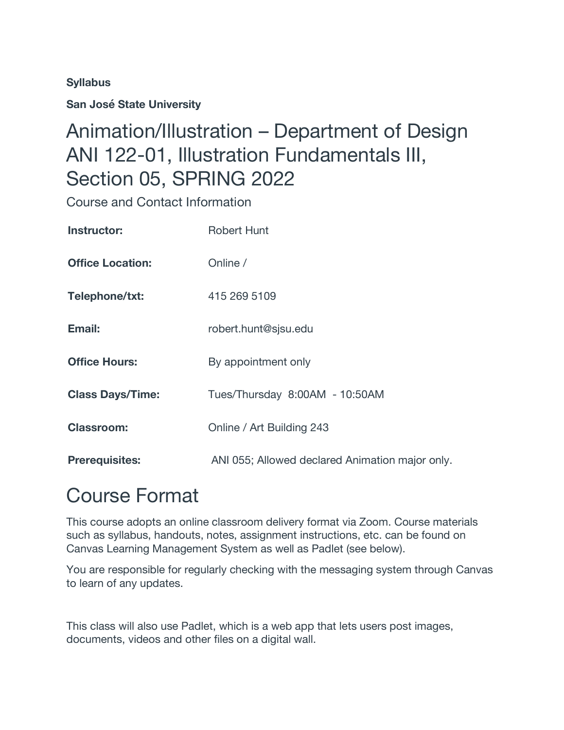#### **Syllabus**

**San José State University**

## Animation/Illustration – Department of Design ANI 122-01, Illustration Fundamentals III, Section 05, SPRING 2022

Course and Contact Information

| Instructor:             | Robert Hunt                                     |  |
|-------------------------|-------------------------------------------------|--|
| <b>Office Location:</b> | Online /                                        |  |
| Telephone/txt:          | 415 269 5109                                    |  |
| Email:                  | robert.hunt@sjsu.edu                            |  |
| <b>Office Hours:</b>    | By appointment only                             |  |
| <b>Class Days/Time:</b> | Tues/Thursday 8:00AM - 10:50AM                  |  |
| <b>Classroom:</b>       | Online / Art Building 243                       |  |
| <b>Prerequisites:</b>   | ANI 055; Allowed declared Animation major only. |  |

# Course Format

This course adopts an online classroom delivery format via Zoom. Course materials such as syllabus, handouts, notes, assignment instructions, etc. can be found on Canvas Learning Management System as well as Padlet (see below).

You are responsible for regularly checking with the messaging system through Canvas to learn of any updates.

This class will also use Padlet, which is a web app that lets users post images, documents, videos and other files on a digital wall.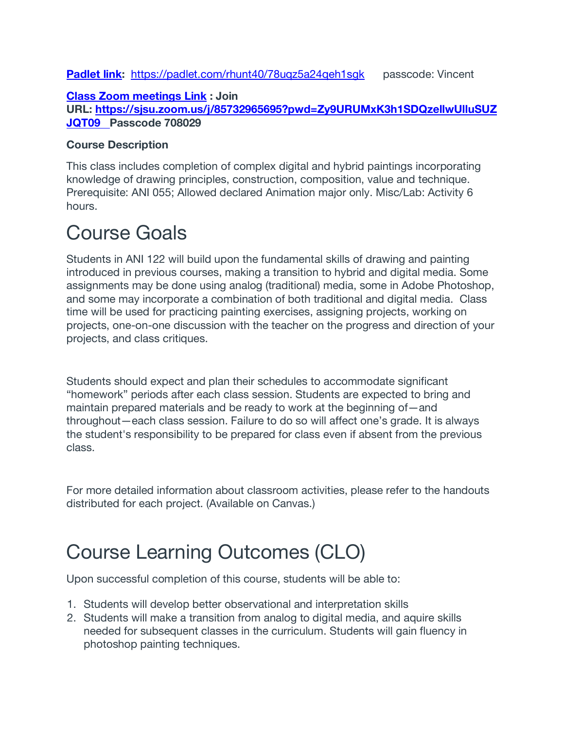#### **Padlet link:** https://padlet.com/rhunt40/78uqz5a24qeh1sqk passcode: Vincent

#### **Class Zoom meetings Link : Join URL: https://sjsu.zoom.us/j/85732965695?pwd=Zy9URUMxK3h1SDQzellwUlluSUZ JQT09 Passcode 708029**

#### **Course Description**

This class includes completion of complex digital and hybrid paintings incorporating knowledge of drawing principles, construction, composition, value and technique. Prerequisite: ANI 055; Allowed declared Animation major only. Misc/Lab: Activity 6 hours.

# Course Goals

Students in ANI 122 will build upon the fundamental skills of drawing and painting introduced in previous courses, making a transition to hybrid and digital media. Some assignments may be done using analog (traditional) media, some in Adobe Photoshop, and some may incorporate a combination of both traditional and digital media. Class time will be used for practicing painting exercises, assigning projects, working on projects, one-on-one discussion with the teacher on the progress and direction of your projects, and class critiques.

Students should expect and plan their schedules to accommodate significant "homework" periods after each class session. Students are expected to bring and maintain prepared materials and be ready to work at the beginning of—and throughout—each class session. Failure to do so will affect one's grade. It is always the student's responsibility to be prepared for class even if absent from the previous class.

For more detailed information about classroom activities, please refer to the handouts distributed for each project. (Available on Canvas.)

# Course Learning Outcomes (CLO)

Upon successful completion of this course, students will be able to:

- 1. Students will develop better observational and interpretation skills
- 2. Students will make a transition from analog to digital media, and aquire skills needed for subsequent classes in the curriculum. Students will gain fluency in photoshop painting techniques.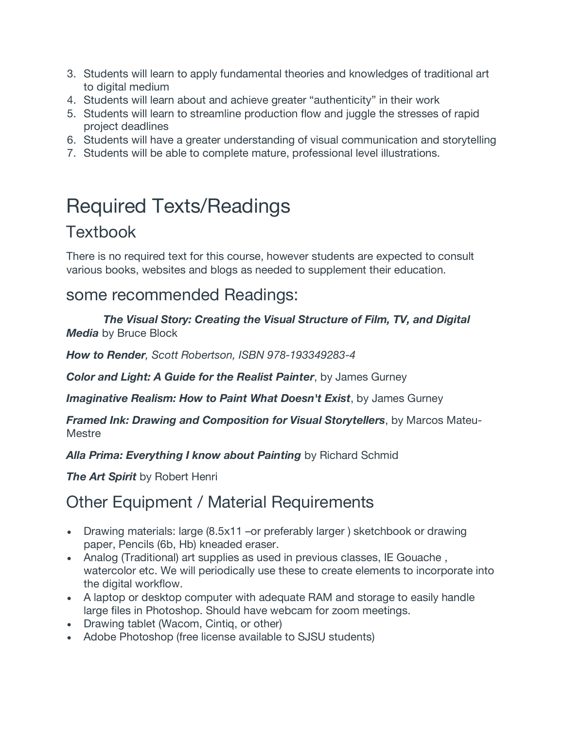- 3. Students will learn to apply fundamental theories and knowledges of traditional art to digital medium
- 4. Students will learn about and achieve greater "authenticity" in their work
- 5. Students will learn to streamline production flow and juggle the stresses of rapid project deadlines
- 6. Students will have a greater understanding of visual communication and storytelling
- 7. Students will be able to complete mature, professional level illustrations.

# Required Texts/Readings

### **Textbook**

There is no required text for this course, however students are expected to consult various books, websites and blogs as needed to supplement their education.

### some recommended Readings:

 *The Visual Story: Creating the Visual Structure of Film, TV, and Digital Media* by Bruce Block

*How to Render, Scott Robertson, ISBN 978-193349283-4*

*Color and Light: A Guide for the Realist Painter*, by James Gurney

*Imaginative Realism: How to Paint What Doesn't Exist*, by James Gurney

*Framed Ink: Drawing and Composition for Visual Storytellers*, by Marcos Mateu-**Mestre** 

*Alla Prima: Everything I know about Painting* by Richard Schmid

*The Art Spirit* by Robert Henri

### Other Equipment / Material Requirements

- Drawing materials: large (8.5x11 –or preferably larger ) sketchbook or drawing paper, Pencils (6b, Hb) kneaded eraser.
- Analog (Traditional) art supplies as used in previous classes, IE Gouache , watercolor etc. We will periodically use these to create elements to incorporate into the digital workflow.
- A laptop or desktop computer with adequate RAM and storage to easily handle large files in Photoshop. Should have webcam for zoom meetings.
- Drawing tablet (Wacom, Cintiq, or other)
- Adobe Photoshop (free license available to SJSU students)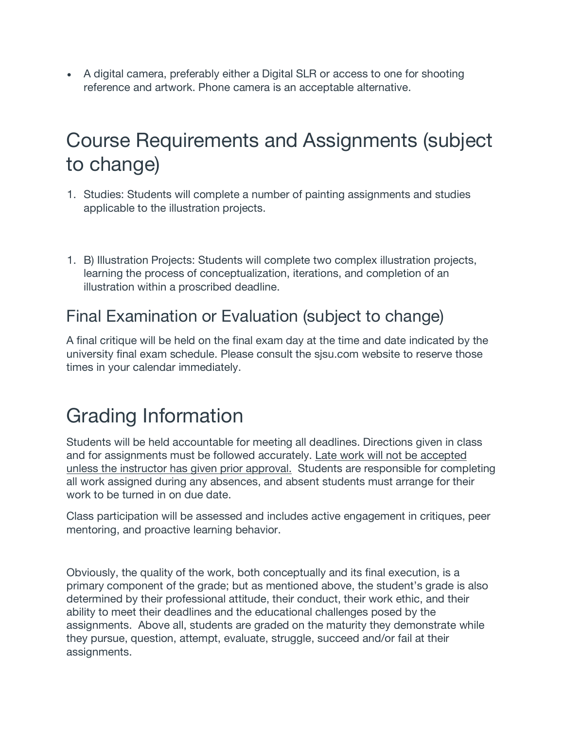• A digital camera, preferably either a Digital SLR or access to one for shooting reference and artwork. Phone camera is an acceptable alternative.

## Course Requirements and Assignments (subject to change)

- 1. Studies: Students will complete a number of painting assignments and studies applicable to the illustration projects.
- 1. B) Illustration Projects: Students will complete two complex illustration projects, learning the process of conceptualization, iterations, and completion of an illustration within a proscribed deadline.

### Final Examination or Evaluation (subject to change)

A final critique will be held on the final exam day at the time and date indicated by the university final exam schedule. Please consult the sjsu.com website to reserve those times in your calendar immediately.

# Grading Information

Students will be held accountable for meeting all deadlines. Directions given in class and for assignments must be followed accurately. Late work will not be accepted unless the instructor has given prior approval. Students are responsible for completing all work assigned during any absences, and absent students must arrange for their work to be turned in on due date.

Class participation will be assessed and includes active engagement in critiques, peer mentoring, and proactive learning behavior.

Obviously, the quality of the work, both conceptually and its final execution, is a primary component of the grade; but as mentioned above, the student's grade is also determined by their professional attitude, their conduct, their work ethic, and their ability to meet their deadlines and the educational challenges posed by the assignments. Above all, students are graded on the maturity they demonstrate while they pursue, question, attempt, evaluate, struggle, succeed and/or fail at their assignments.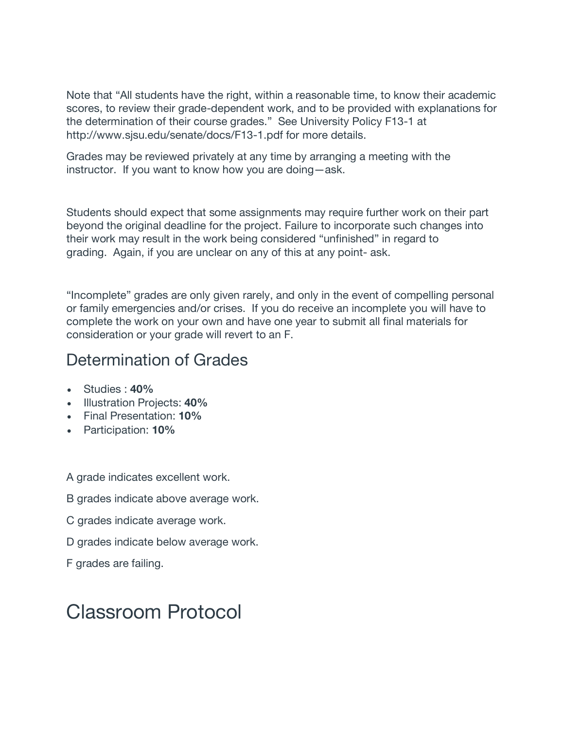Note that "All students have the right, within a reasonable time, to know their academic scores, to review their grade-dependent work, and to be provided with explanations for the determination of their course grades." See University Policy F13-1 at http://www.sjsu.edu/senate/docs/F13-1.pdf for more details.

Grades may be reviewed privately at any time by arranging a meeting with the instructor. If you want to know how you are doing—ask.

Students should expect that some assignments may require further work on their part beyond the original deadline for the project. Failure to incorporate such changes into their work may result in the work being considered "unfinished" in regard to grading. Again, if you are unclear on any of this at any point- ask.

"Incomplete" grades are only given rarely, and only in the event of compelling personal or family emergencies and/or crises. If you do receive an incomplete you will have to complete the work on your own and have one year to submit all final materials for consideration or your grade will revert to an F.

### Determination of Grades

- Studies : **40%**
- Illustration Projects: **40%**
- Final Presentation: **10%**
- Participation: **10%**

A grade indicates excellent work.

- B grades indicate above average work.
- C grades indicate average work.
- D grades indicate below average work.
- F grades are failing.

## Classroom Protocol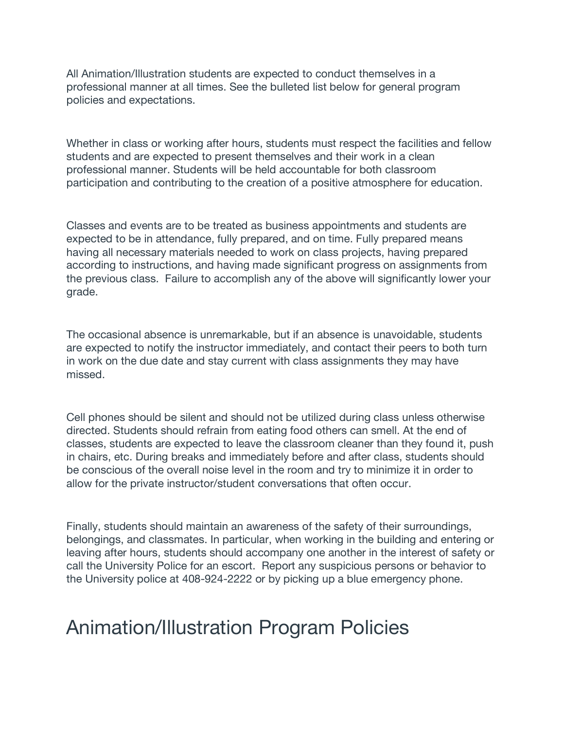All Animation/Illustration students are expected to conduct themselves in a professional manner at all times. See the bulleted list below for general program policies and expectations.

Whether in class or working after hours, students must respect the facilities and fellow students and are expected to present themselves and their work in a clean professional manner. Students will be held accountable for both classroom participation and contributing to the creation of a positive atmosphere for education.

Classes and events are to be treated as business appointments and students are expected to be in attendance, fully prepared, and on time. Fully prepared means having all necessary materials needed to work on class projects, having prepared according to instructions, and having made significant progress on assignments from the previous class. Failure to accomplish any of the above will significantly lower your grade.

The occasional absence is unremarkable, but if an absence is unavoidable, students are expected to notify the instructor immediately, and contact their peers to both turn in work on the due date and stay current with class assignments they may have missed.

Cell phones should be silent and should not be utilized during class unless otherwise directed. Students should refrain from eating food others can smell. At the end of classes, students are expected to leave the classroom cleaner than they found it, push in chairs, etc. During breaks and immediately before and after class, students should be conscious of the overall noise level in the room and try to minimize it in order to allow for the private instructor/student conversations that often occur.

Finally, students should maintain an awareness of the safety of their surroundings, belongings, and classmates. In particular, when working in the building and entering or leaving after hours, students should accompany one another in the interest of safety or call the University Police for an escort. Report any suspicious persons or behavior to the University police at 408-924-2222 or by picking up a blue emergency phone.

### Animation/Illustration Program Policies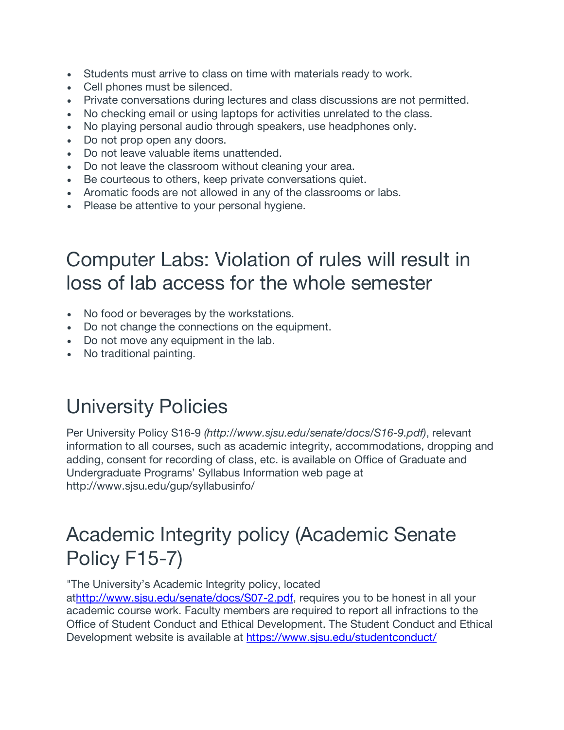- Students must arrive to class on time with materials ready to work.
- Cell phones must be silenced.
- Private conversations during lectures and class discussions are not permitted.
- No checking email or using laptops for activities unrelated to the class.
- No playing personal audio through speakers, use headphones only.
- Do not prop open any doors.
- Do not leave valuable items unattended.
- Do not leave the classroom without cleaning your area.
- Be courteous to others, keep private conversations quiet.
- Aromatic foods are not allowed in any of the classrooms or labs.
- Please be attentive to your personal hygiene.

## Computer Labs: Violation of rules will result in loss of lab access for the whole semester

- No food or beverages by the workstations.
- Do not change the connections on the equipment.
- Do not move any equipment in the lab.
- No traditional painting.

# University Policies

Per University Policy S16-9 *(http://www.sjsu.edu/senate/docs/S16-9.pdf)*, relevant information to all courses, such as academic integrity, accommodations, dropping and adding, consent for recording of class, etc. is available on Office of Graduate and Undergraduate Programs' Syllabus Information web page at http://www.sjsu.edu/gup/syllabusinfo/

## Academic Integrity policy (Academic Senate Policy F15-7)

"The University's Academic Integrity policy, located

athttp://www.sjsu.edu/senate/docs/S07-2.pdf, requires you to be honest in all your academic course work. Faculty members are required to report all infractions to the Office of Student Conduct and Ethical Development. The Student Conduct and Ethical Development website is available at https://www.sjsu.edu/studentconduct/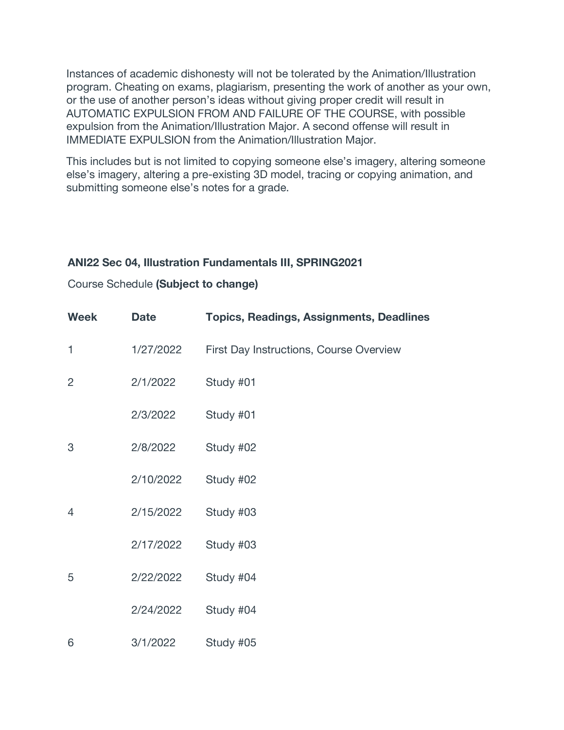Instances of academic dishonesty will not be tolerated by the Animation/Illustration program. Cheating on exams, plagiarism, presenting the work of another as your own, or the use of another person's ideas without giving proper credit will result in AUTOMATIC EXPULSION FROM AND FAILURE OF THE COURSE, with possible expulsion from the Animation/Illustration Major. A second offense will result in IMMEDIATE EXPULSION from the Animation/Illustration Major.

This includes but is not limited to copying someone else's imagery, altering someone else's imagery, altering a pre-existing 3D model, tracing or copying animation, and submitting someone else's notes for a grade.

#### **ANI22 Sec 04, Illustration Fundamentals III, SPRING2021**

#### Course Schedule **(Subject to change)**

| <b>Week</b> | <b>Date</b> | <b>Topics, Readings, Assignments, Deadlines</b> |
|-------------|-------------|-------------------------------------------------|
| 1           | 1/27/2022   | First Day Instructions, Course Overview         |
| 2           | 2/1/2022    | Study #01                                       |
|             | 2/3/2022    | Study #01                                       |
| 3           | 2/8/2022    | Study #02                                       |
|             | 2/10/2022   | Study #02                                       |
| 4           | 2/15/2022   | Study #03                                       |
|             | 2/17/2022   | Study #03                                       |
| 5           | 2/22/2022   | Study #04                                       |
|             | 2/24/2022   | Study #04                                       |
| 6           | 3/1/2022    | Study #05                                       |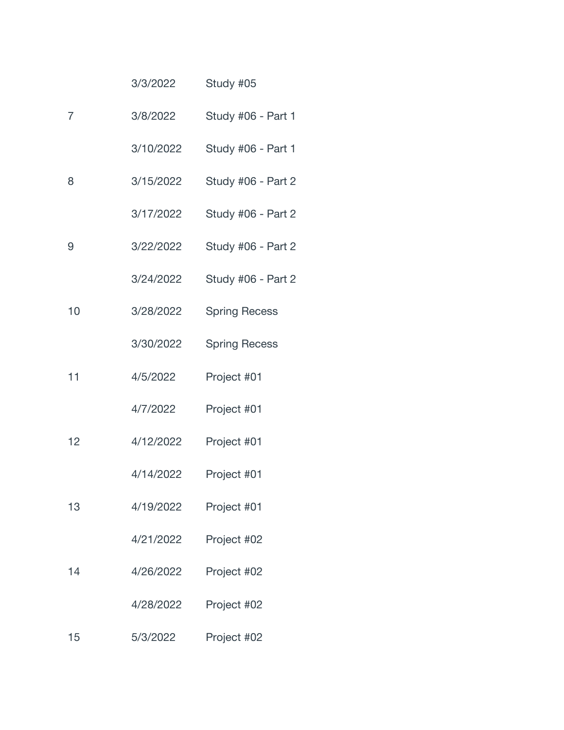|    | 3/3/2022  | Study #05            |
|----|-----------|----------------------|
| 7  | 3/8/2022  | Study #06 - Part 1   |
|    | 3/10/2022 | Study #06 - Part 1   |
| 8  | 3/15/2022 | Study #06 - Part 2   |
|    | 3/17/2022 | Study #06 - Part 2   |
| 9  | 3/22/2022 | Study #06 - Part 2   |
|    | 3/24/2022 | Study #06 - Part 2   |
| 10 | 3/28/2022 | <b>Spring Recess</b> |
|    | 3/30/2022 | <b>Spring Recess</b> |
| 11 | 4/5/2022  | Project #01          |
|    | 4/7/2022  | Project #01          |
| 12 | 4/12/2022 | Project #01          |
|    | 4/14/2022 | Project #01          |
| 13 | 4/19/2022 | Project #01          |
|    | 4/21/2022 | Project #02          |
| 14 | 4/26/2022 | Project #02          |
|    | 4/28/2022 | Project #02          |
| 15 | 5/3/2022  | Project #02          |